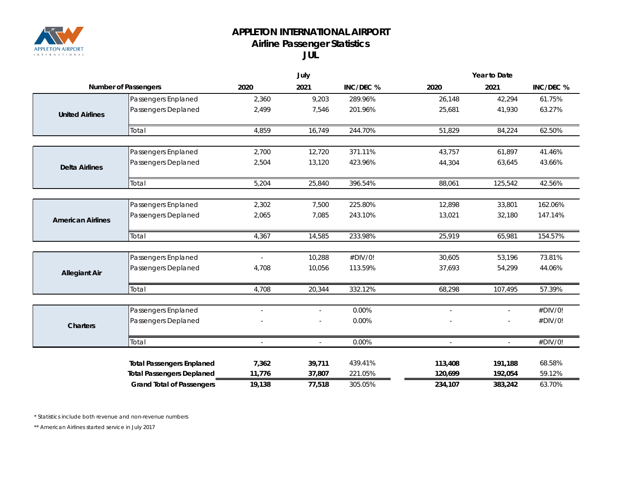

## **APPLETON INTERNATIONAL AIRPORT Airline Passenger Statistics**

**JUL**

|                             |                                  | July           |                          | Year to Date |         |              |           |
|-----------------------------|----------------------------------|----------------|--------------------------|--------------|---------|--------------|-----------|
| <b>Number of Passengers</b> |                                  | 2020           | 2021                     | INC/DEC %    | 2020    | 2021         | INC/DEC % |
|                             | Passengers Enplaned              | 2,360          | 9,203                    | 289.96%      | 26,148  | 42,294       | 61.75%    |
| <b>United Airlines</b>      | Passengers Deplaned              | 2,499          | 7,546                    | 201.96%      | 25,681  | 41,930       | 63.27%    |
|                             | Total                            | 4,859          | 16,749                   | 244.70%      | 51,829  | 84,224       | 62.50%    |
| <b>Delta Airlines</b>       | Passengers Enplaned              | 2,700          | 12,720                   | 371.11%      | 43,757  | 61,897       | 41.46%    |
|                             | Passengers Deplaned              | 2,504          | 13,120                   | 423.96%      | 44,304  | 63,645       | 43.66%    |
|                             | Total                            | 5,204          | 25,840                   | 396.54%      | 88,061  | 125,542      | 42.56%    |
|                             | Passengers Enplaned              | 2,302          | 7,500                    | 225.80%      | 12,898  | 33,801       | 162.06%   |
| <b>American Airlines</b>    | Passengers Deplaned              | 2,065          | 7,085                    | 243.10%      | 13,021  | 32,180       | 147.14%   |
|                             | Total                            | 4,367          | 14,585                   | 233.98%      | 25,919  | 65,981       | 154.57%   |
|                             | Passengers Enplaned              | $\overline{a}$ | 10,288                   | #DIV/0!      | 30,605  | 53,196       | 73.81%    |
| <b>Allegiant Air</b>        | Passengers Deplaned              | 4,708          | 10,056                   | 113.59%      | 37,693  | 54,299       | 44.06%    |
|                             | Total                            | 4,708          | 20,344                   | 332.12%      | 68,298  | 107,495      | 57.39%    |
|                             | Passengers Enplaned              | $\sim$         | $\overline{\phantom{a}}$ | 0.00%        | $\sim$  | $\sim$       | #DIV/0!   |
| <b>Charters</b>             | Passengers Deplaned              |                |                          | 0.00%        |         |              | #DIV/0!   |
|                             | Total                            | $\overline{a}$ | $\mathcal{L}$            | 0.00%        |         | $\mathbf{r}$ | #DIV/0!   |
|                             | <b>Total Passengers Enplaned</b> | 7,362          | 39,711                   | 439.41%      | 113,408 | 191,188      | 68.58%    |
|                             | <b>Total Passengers Deplaned</b> | 11,776         | 37,807                   | 221.05%      | 120,699 | 192,054      | 59.12%    |
|                             | <b>Grand Total of Passengers</b> | 19,138         | 77,518                   | 305.05%      | 234,107 | 383,242      | 63.70%    |

*\* Statistics include both revenue and non-revenue numbers*

*\*\* American Airlines started service in July 2017*